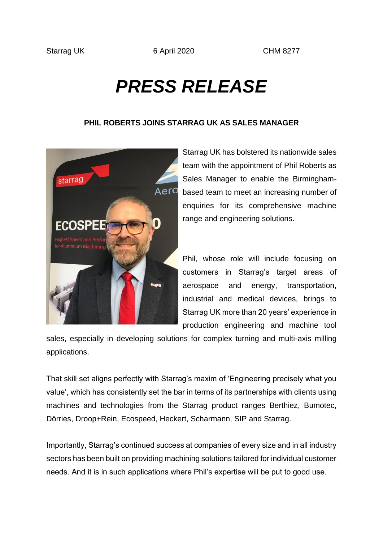## *PRESS RELEASE*

## **PHIL ROBERTS JOINS STARRAG UK AS SALES MANAGER**



Starrag UK has bolstered its nationwide sales team with the appointment of Phil Roberts as Sales Manager to enable the Birminghambased team to meet an increasing number of enquiries for its comprehensive machine range and engineering solutions.

Phil, whose role will include focusing on customers in Starrag's target areas of aerospace and energy, transportation, industrial and medical devices, brings to Starrag UK more than 20 years' experience in production engineering and machine tool

sales, especially in developing solutions for complex turning and multi-axis milling applications.

That skill set aligns perfectly with Starrag's maxim of 'Engineering precisely what you value', which has consistently set the bar in terms of its partnerships with clients using machines and technologies from the Starrag product ranges Berthiez, Bumotec, Dörries, Droop+Rein, Ecospeed, Heckert, Scharmann, SIP and Starrag.

Importantly, Starrag's continued success at companies of every size and in all industry sectors has been built on providing machining solutions tailored for individual customer needs. And it is in such applications where Phil's expertise will be put to good use.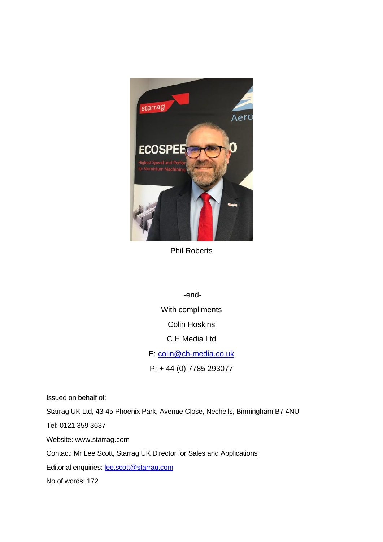

Phil Roberts

-end-With compliments Colin Hoskins C H Media Ltd E: [colin@ch-media.co.uk](mailto:colin@ch-media.co.uk) P: + 44 (0) 7785 293077

Issued on behalf of:

Starrag UK Ltd, 43-45 Phoenix Park, Avenue Close, Nechells, Birmingham B7 4NU

Tel: 0121 359 3637

Website: www.starrag.com

Contact: Mr Lee Scott, Starrag UK Director for Sales and Applications

Editorial enquiries: **lee.scott@starrag.com** 

No of words: 172